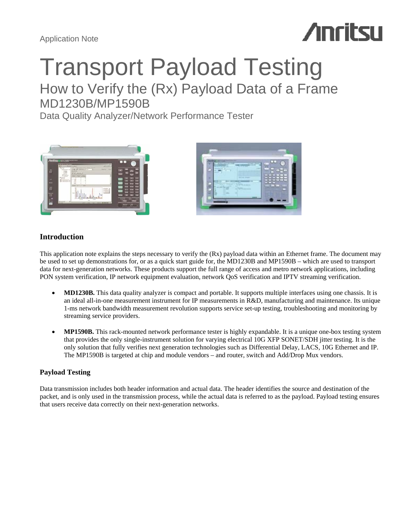Application Note

# **Anritsu**

# Transport Payload Testing How to Verify the (Rx) Payload Data of a Frame

MD1230B/MP1590B

Data Quality Analyzer/Network Performance Tester





# **Introduction**

This application note explains the steps necessary to verify the (Rx) payload data within an Ethernet frame. The document may be used to set up demonstrations for, or as a quick start guide for, the MD1230B and MP1590B – which are used to transport data for next-generation networks. These products support the full range of access and metro network applications, including PON system verification, IP network equipment evaluation, network QoS verification and IPTV streaming verification.

- MD1230B. This data quality analyzer is compact and portable. It supports multiple interfaces using one chassis. It is an ideal all-in-one measurement instrument for IP measurements in R&D, manufacturing and maintenance. Its unique 1-ms network bandwidth measurement revolution supports service set-up testing, troubleshooting and monitoring by streaming service providers.
- **MP1590B.** This rack-mounted network performance tester is highly expandable. It is a unique one-box testing system that provides the only single-instrument solution for varying electrical 10G XFP SONET/SDH jitter testing. It is the only solution that fully verifies next generation technologies such as Differential Delay, LACS, 10G Ethernet and IP. The MP1590B is targeted at chip and module vendors – and router, switch and Add/Drop Mux vendors.

# **Payload Testing**

Data transmission includes both header information and actual data. The header identifies the source and destination of the packet, and is only used in the transmission process, while the actual data is referred to as the payload. Payload testing ensures that users receive data correctly on their next-generation networks.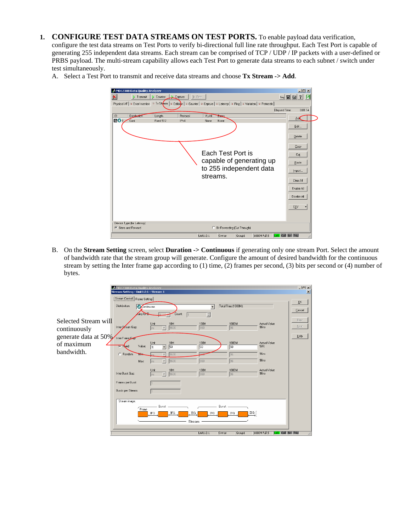**1. CONFIGURE TEST DATA STREAMS ON TEST PORTS.** To enable payload data verification,

configure the test data streams on Test Ports to verify bi-directional full line rate throughput. Each Test Port is capable of generating 255 independent data streams. Each stream can be comprised of TCP / UDP / IP packets with a user-defined or PRBS payload. The multi-stream capability allows each Test Port to generate data streams to each subnet / switch under test simultaneously.

A. Select a Test Port to transmit and receive data streams and choose **Tx Stream -> Add**.



B. On the **Stream Setting** screen, select **Duration -> Continuous** if generating only one stream Port. Select the amount of bandwidth rate that the stream group will generate. Configure the amount of desired bandwidth for the continuous stream by setting the Inter frame gap according to (1) time, (2) frames per second, (3) bits per second or (4) number of bytes.

|                                                                              | A MD1230B Data Quality Analyzer<br>Stream Setting - Unit1:2:1 - Stream 1 |                                                                |                             |                               |                                |                                                 | $\Box$ mixi<br>$\vert x \vert$ |
|------------------------------------------------------------------------------|--------------------------------------------------------------------------|----------------------------------------------------------------|-----------------------------|-------------------------------|--------------------------------|-------------------------------------------------|--------------------------------|
|                                                                              | [Stream Control] Frame Setting  <br>Distribution:<br>amp to the          | <b>O</b> Continuous                                            | Count:                      | $\overline{\phantom{a}}$<br>픺 | Total Time (1000M):            |                                                 | QK<br>Cancel                   |
| Selected Stream will<br>continuously<br>generate data at 50% Inter Frame Gam | Inter Stream Gap:                                                        | Unit<br>$\overline{\mathbf{v}}$<br>$\ln s$                     | 10M<br>9600                 | 100M<br>960                   | 1000M<br>96                    | Actual Value<br>96 <sub>ns</sub>                | Prev<br>Next<br>Help           |
| of maximum<br>bandwidth.                                                     | Value:<br><b>C</b> Fred<br>C Random<br>$\blacksquare$<br>Max:            | Unit<br>1%<br>$\overline{\phantom{a}}$<br>$\vert \nabla \vert$ | 10M<br>50<br>9600<br>9600   | 100M<br>50<br>960             | 1000M<br>50<br>96<br>96        | Actual Value<br>50%<br>96ns<br>96 <sub>ns</sub> |                                |
|                                                                              | Inter Burst Gap:<br>Frames per Burst:                                    | Ins<br>Unit<br>$\overline{\mathbf{v}}$<br>$\ln s$              | 10M<br>9600                 | 100M<br>960                   | 1000M<br>96                    | Actual Value<br>96ns                            |                                |
|                                                                              | Bursts per Stream:<br>Stream image:                                      |                                                                |                             |                               |                                |                                                 |                                |
|                                                                              | .<br>Frame                                                               | Burst<br>IFG                                                   | IFG<br><b>IBG</b><br>Stream | Burst.<br>IFG                 | $\overline{\mathsf{L}}$<br>IFG |                                                 |                                |
|                                                                              |                                                                          |                                                                |                             | Unit1:2:1<br>Owner            | Group1                         | 1000M Full S<br>Link Coll Err Trig              | h.                             |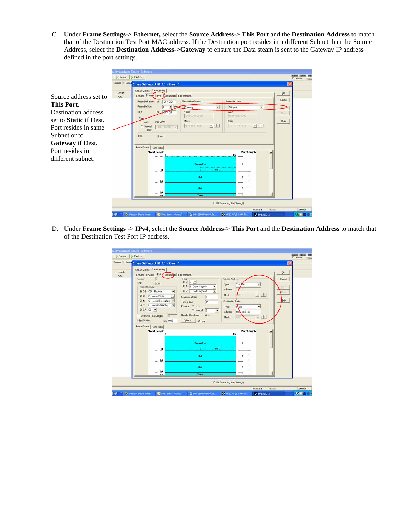C. Under **Frame Settings-> Ethernet,** select the **Source Address-> This Port** and the **Destination Address** to match that of the Destination Test Port MAC address. If the Destination port resides in a different Subnet than the Source Address, select the **Destination Address->Gateway** to ensure the Data steam is sent to the Gateway IP address defined in the port settings.

|                               |                   | ality Analyzer Control Software                       |                                                          |                        |                                       |                          |             |      |              |                |
|-------------------------------|-------------------|-------------------------------------------------------|----------------------------------------------------------|------------------------|---------------------------------------|--------------------------|-------------|------|--------------|----------------|
|                               | Counter D Capture |                                                       |                                                          |                        |                                       |                          |             |      |              | History H.Rese |
|                               |                   |                                                       | Counter   © Caplus Stream Setting - Unit1:1:1 - Stream 1 |                        |                                       |                          |             |      |              |                |
| Source address set to         | Length<br>Auto    | Stream Control Frame Selting<br>General Ethernet IPv4 | Data Fields Error Insertion                              | Destination Address    | Source Address                        |                          |             |      | QK<br>Cancel |                |
| This Port.                    |                   | Preamble Pattern bin<br>Preamble Size:                | 10101010                                                 | S bytes Gateway<br>٠   | This port                             |                          | $\bullet$   |      |              |                |
| Destination address           |                   | SFD:<br>Type.                                         | bin Jamillott                                            | Valuer<br>030000000000 | Value                                 | 000000000000             |             |      | Neit         |                |
| set to <b>Static</b> if Dest. |                   | $G$ Auto                                              | (hex 0000)                                               | Mark:<br>FEFEREE<br>光图 | Mark                                  | FEFETEFE                 | $-$ sini    |      | Help         |                |
| Port resides in same          |                   | Manual<br>(hea)                                       | 3300 - Internet IP                                       |                        |                                       |                          |             |      |              |                |
| Subnet or to                  |                   | FCS:                                                  | Auto                                                     |                        |                                       |                          |             |      |              |                |
| <b>Gateway</b> if Dest.       |                   |                                                       |                                                          |                        |                                       |                          |             |      |              |                |
| Port resides in               |                   | Frame Format Frame View                               | <b>Total Length</b>                                      |                        |                                       | Part Length              |             |      |              |                |
| different subnet.             |                   |                                                       |                                                          |                        | 15                                    |                          |             |      |              |                |
|                               |                   |                                                       |                                                          | Preamble               |                                       | $\mathbf{a}$             |             |      |              |                |
|                               |                   |                                                       | 8<br>111111                                              | <b>SFD</b>             |                                       |                          |             |      |              |                |
|                               |                   |                                                       | 14                                                       | DA                     |                                       | ĸ                        |             |      |              |                |
|                               |                   |                                                       | 20                                                       | <b>BA</b>              |                                       | 6                        |             |      |              |                |
|                               |                   |                                                       | n <sub>n</sub>                                           | Tunn                   |                                       | $\overline{\phantom{a}}$ |             |      |              |                |
|                               |                   |                                                       |                                                          |                        | <b>E</b> Bit Forwarding (Cut Through) |                          |             |      |              |                |
|                               |                   |                                                       |                                                          |                        |                                       |                          | Unititit    | Ovew |              | 10M Half       |
|                               |                   | Windows Media Player                                  | Sent Items - Microsof                                    | MD12308 Network Te.    | C M01230A/B & MP159.                  |                          | A MX123001A |      |              | 国国語書           |

D. Under **Frame Settings -> IPv4**, select the **Source Address-> This Port** and the **Destination Address** to match that of the Destination Test Port IP address.

|        | Stream Setting - Unit1:1:1 - Stream 1                                                                                                                                                                                                                                                                       |                                                                                                                                                                                                                                                                                                     |                                                                                                                                                   |                                        |
|--------|-------------------------------------------------------------------------------------------------------------------------------------------------------------------------------------------------------------------------------------------------------------------------------------------------------------|-----------------------------------------------------------------------------------------------------------------------------------------------------------------------------------------------------------------------------------------------------------------------------------------------------|---------------------------------------------------------------------------------------------------------------------------------------------------|----------------------------------------|
| Length | Stream Control Frame Selting                                                                                                                                                                                                                                                                                |                                                                                                                                                                                                                                                                                                     |                                                                                                                                                   | ŪK.                                    |
| Auto   | General Ethemet IPv4   Data Fields Error Insertion<br>Verzioni<br>IHL:<br>Auto<br>Type of Service<br>Bit 0-2 000 - Routine<br>٠<br>Bit 3:<br>0 - Normal Delay<br>٠<br>0 - Normal Throughput<br>股4<br>0 - Normal Reliability<br>Bit 5:<br>$\overline{\phantom{a}}$<br>Bk 6.7: 00 -<br>Overwrite Total Length | Flag<br>BkQ 0 -<br>Type:<br>Bit 1: 1 - Don't Fragment<br>$\overline{ }$<br>Address<br>Bit 2 0 - Last Fragment<br>٠<br>Mask:<br>lo<br><b>Fragment Offret:</b><br>64<br>Time to Live<br>Protocol C Auto<br>Type:<br>G. Manual<br>10<br>회<br>Address.<br><b>Header Checksum</b><br>Auto<br><b>Mask</b> | Source Address<br>This Vot<br>$\left\vert \psi \right\vert$<br>100<br>Destination Address<br>S <sub>affic</sub><br>192 68 3 150<br>0.0.06<br>$+1$ | Cancel<br>hev<br>m.<br>业<br>jelp<br>又に |
|        | hex 0000<br><b>Identification:</b>                                                                                                                                                                                                                                                                          | Dplicent<br>(0 byte)                                                                                                                                                                                                                                                                                |                                                                                                                                                   |                                        |
|        | Frame Format Frame View<br><b>Total Length</b>                                                                                                                                                                                                                                                              |                                                                                                                                                                                                                                                                                                     | Part Length                                                                                                                                       |                                        |
|        | ۵<br>                                                                                                                                                                                                                                                                                                       | Preamble<br>.<br><b>SFD</b>                                                                                                                                                                                                                                                                         | 15<br>8                                                                                                                                           |                                        |
|        | 8<br>14                                                                                                                                                                                                                                                                                                     | DA                                                                                                                                                                                                                                                                                                  | ĸ                                                                                                                                                 |                                        |
|        | $\ldots$ . 20                                                                                                                                                                                                                                                                                               | <b>BA</b>                                                                                                                                                                                                                                                                                           | 6                                                                                                                                                 |                                        |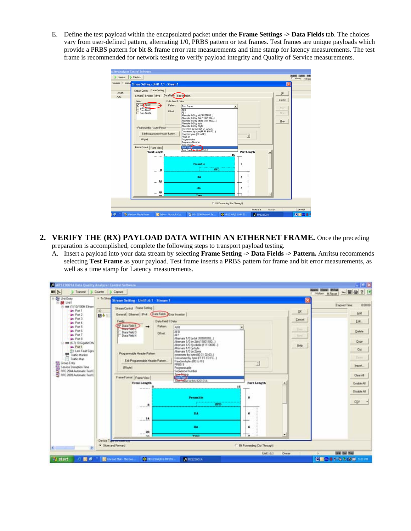E. Define the test payload within the encapsulated packet under the **Frame Settings -> Data Fields** tab. The choices vary from user-defined pattern, alternating 1/0, PRBS pattern or test frames. Test frames are unique payloads which provide a PRBS pattern for bit & frame error rate measurements and time stamp for latency measurements. The test frame is recommended for network testing to verify payload integrity and Quality of Service measurements.



- **2. VERIFY THE (RX) PAYLOAD DATA WITHIN AN ETHERNET FRAME.** Once the preceding preparation is accomplished, complete the following steps to transport payload testing.
	- A. Insert a payload into your data stream by selecting **Frame Setting -> Data Fields -> Pattern.** Anritsu recommends selecting **Test Frame** as your payload. Test frame inserts a PRBS pattern for frame and bit error measurements, as well as a time stamp for Latency measurements.

| ■医<br>Transmit Counter Cophare<br>E - Disk Enky                                                          | $=$ Tx Stead |                                                          |                                                             |                                           |        |        | About 191041 STEML<br>5回目<br>?团<br>History H.Reset |
|----------------------------------------------------------------------------------------------------------|--------------|----------------------------------------------------------|-------------------------------------------------------------|-------------------------------------------|--------|--------|----------------------------------------------------|
| 三 类 Unit1                                                                                                |              | Stream Setting - Unit1:6:1 - Stream 1                    |                                                             |                                           |        |        | 0.00.00<br><b>Elapored Time</b>                    |
| ( ass (1) 10/100M Ethern<br>Port 1                                                                       |              | Stream Control Frame Setting                             |                                                             |                                           |        |        |                                                    |
| Pont2                                                                                                    | ID.<br>日41   | General Ethemet   Pvt Data Field: Eva Insertion          |                                                             |                                           |        | QK.    | Add                                                |
| Pout 3                                                                                                   |              | Data Field 1 Data<br>Fields:                             |                                                             |                                           |        | Cancel | Edt.                                               |
| <b>Port &amp;</b><br><b>De</b> Port 5                                                                    |              | V Data Field 1<br>Pattern<br>$\rightarrow$               | ALC                                                         |                                           |        |        |                                                    |
| <b>Port 6</b>                                                                                            |              | <b>Data Feld 2</b><br>Data Field 3<br>Offset             | AI D                                                        |                                           |        | Em     | Delete                                             |
| Port 7<br><b>Port B</b>                                                                                  |              | Data Field 4                                             | All 1<br>Alternate 1/0 by bit (10101010)                    |                                           |        | Ford   |                                                    |
| 三 888 16.7) 10 Gigabit Ethe                                                                              |              |                                                          | Alternate 1/0 by 2bit (11001100                             |                                           |        |        | Copy                                               |
| Pout 1                                                                                                   |              |                                                          | Alternate 1/0 by nibble (11110000)<br>Alternate 1/0 by byte |                                           |        | Help   | Cup                                                |
| D Link Fault Signs<br>Traffic Monitor                                                                    |              | Programmable Header Pattern                              | Alternate 1/0 by 2byte<br>Increment by byte (00 01 02 03.)  |                                           |        |        |                                                    |
| Traffic Map                                                                                              |              | Edit Programmable Header Pattern                         | Decrement by byte FF FE FD FC<br>Random bytes (00 to FF)    |                                           |        |        | Ferr                                               |
|                                                                                                          |              |                                                          | <b>PR859</b>                                                | Ė                                         |        |        | inpot.                                             |
| Sa Group Entry<br>Service Dimuption Tele<br>Sa PPC 2544 Automatic Tele E<br>Sa PPC 2989 Automatic Tele E |              | (D twee)                                                 | Programmable<br>Sequence Number                             |                                           |        |        |                                                    |
|                                                                                                          |              | Frame Format Frame View                                  | <b>Low August</b>                                           |                                           |        |        | Clear AB                                           |
|                                                                                                          |              | <b>Total Length</b>                                      | Tatt Filme for MU1201014                                    | <b>Part Length</b>                        |        |        | Enable AB                                          |
|                                                                                                          |              | *******                                                  |                                                             | 15                                        |        |        |                                                    |
|                                                                                                          |              |                                                          |                                                             |                                           |        |        | Disable All                                        |
|                                                                                                          |              |                                                          | Preamble                                                    | B                                         |        |        |                                                    |
|                                                                                                          |              |                                                          | <b>CARDONALISM</b><br><b>SPD</b>                            |                                           |        |        | <b>CSV</b><br>×                                    |
|                                                                                                          |              |                                                          |                                                             |                                           |        |        |                                                    |
|                                                                                                          |              |                                                          | DA:                                                         | n                                         |        |        |                                                    |
|                                                                                                          |              | 14                                                       |                                                             |                                           |        |        |                                                    |
|                                                                                                          |              |                                                          | 部品                                                          | б                                         |        |        |                                                    |
|                                                                                                          |              | $-20$                                                    |                                                             | Ťō.                                       | ٠      |        |                                                    |
|                                                                                                          |              | <b>HH</b><br>Device Type purchasing                      | <b>Turns</b>                                                |                                           |        |        |                                                    |
|                                                                                                          |              | F Store and Forward                                      |                                                             | <sup>1</sup> Bit Forwarding (Cut Through) |        |        |                                                    |
|                                                                                                          |              |                                                          |                                                             | Unit Life's                               | Ovener |        | Link End Trees                                     |
| <b>TI</b> start<br>関係                                                                                    |              | <b>C MOL230AN &amp; HF159.</b><br>C Urread Mail - Moroso | И модворца                                                  |                                           |        |        | ◎回復書記名3 店房 500円                                    |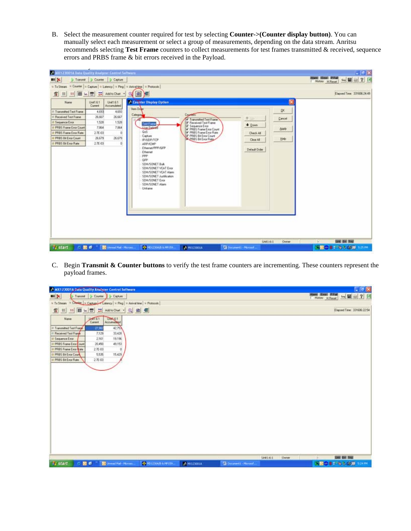B. Select the measurement counter required for test by selecting **Counter->(Counter display button)**. You can manually select each measurement or select a group of measurements, depending on the data stream. Anritsu recommends selecting **Test Frame** counters to collect measurements for test frames transmitted & received, sequence errors and PRBS frame & bit errors received in the Payload.

| A MX123001A Data Quality Analyzer Centrel Seffware. |                     |                                  |                                                                                                                                         |                                             |                               |                           | $   -$                                                                     |
|-----------------------------------------------------|---------------------|----------------------------------|-----------------------------------------------------------------------------------------------------------------------------------------|---------------------------------------------|-------------------------------|---------------------------|----------------------------------------------------------------------------|
| $m \times$                                          |                     | > Transmit   Counter   > Capture |                                                                                                                                         |                                             |                               |                           | <b>Stared Editor: Statust</b><br>$L_{\text{H}}$<br>7 团<br>History H. Reset |
| G. Ta Shears                                        |                     |                                  | = Counter   = Capture   + Latency   = Ping   + Anival time   + Protocols                                                                |                                             |                               |                           |                                                                            |
| 背<br>m<br>и<br>[10]                                 | 뇌물<br>н             | Add to Chat. .                   | 面<br>ж                                                                                                                                  |                                             |                               |                           | Elapsed Time: 331606:24:49                                                 |
| Name                                                | Unit 6:1<br>Current | Uwt61<br>Accumulated             | A Counter Display Option<br><b>Item Draw</b>                                                                                            |                                             |                               |                           |                                                                            |
| It: Tasnumitted Test Frame                          | 4,693               | 4,653                            |                                                                                                                                         |                                             |                               | DK.                       |                                                                            |
| IT Received Test Frank                              | 26,667              | 26,667                           | Calegory                                                                                                                                | <b>Countries</b><br>Transmitted Test Frame  | 平山                            | Circot                    |                                                                            |
| <b>El Seguence Exor</b>                             | 1,528               | 1.528                            | Test Frank                                                                                                                              | P Received Test Frane                       | $+$ Down                      |                           |                                                                            |
| <b>C PRBS Frame Ence Count</b>                      | 7,964               | 7,864                            | Lisas Delivery                                                                                                                          | Sequence Emar<br>PRBS Frame Eiror Count     |                               | <b>Apply</b>              |                                                                            |
| @ PRBS Frame Exce Rate                              | 276.03              | $\alpha$                         | Qo5                                                                                                                                     | PRBS Frame Error Rate<br>PRES Be Enor Count | <b>Check AB</b>               |                           |                                                                            |
| @ PRBS Bit Enter Count                              | 26.679              | 26.679                           | Capture<br><b>IP/UDP/TCP</b>                                                                                                            | <b>W_PRES Bit Enor Rate</b>                 | Clear AB                      | Help                      |                                                                            |
| D PRBS Bit Enor Rake                                | 276.03              | $\alpha$                         | <b>ARP/ICMP</b><br>Ethernet/PPP/GFP                                                                                                     |                                             |                               |                           |                                                                            |
|                                                     |                     |                                  | SDH/SONET BLA.<br>SDH/SONET VCAT Entr<br>SDH/SONET VCAT Alarm<br>SDH/SONET Juli/lication<br>SDH/SONET Evid<br>SDH/SONET Alam<br>Unframe |                                             |                               |                           |                                                                            |
| <b>SI start</b>                                     | 国币                  | C Urread Mal - Moroes            | <b>O MO1230AB N MV159.</b>                                                                                                              | A MC23001A                                  | <b>Ca</b> Document1 - Morpsof | <b>Unitidat</b><br>Oveney | <b>EAST EAST TIME</b><br><b>A</b><br><b>NDOST GOOD STAR</b>                |

C. Begin **Transmit & Counter buttons** to verify the test frame counters are incrementing. These counters represent the payload frames.

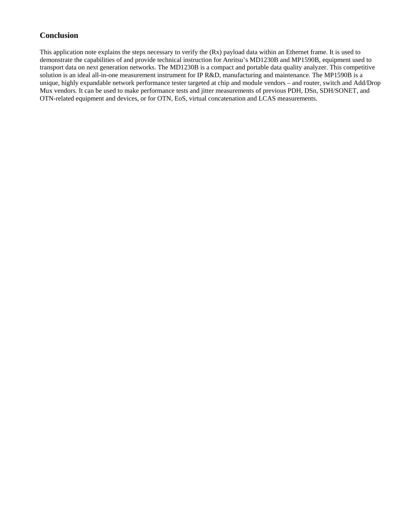# **Conclusion**

This application note explains the steps necessary to verify the (Rx) payload data within an Ethernet frame. It is used to demonstrate the capabilities of and provide technical instruction for Anritsu's MD1230B and MP1590B, equipment used to transport data on next generation networks. The MD1230B is a compact and portable data quality analyzer. This competitive solution is an ideal all-in-one measurement instrument for IP R&D, manufacturing and maintenance. The MP1590B is a unique, highly expandable network performance tester targeted at chip and module vendors – and router, switch and Add/Drop Mux vendors. It can be used to make performance tests and jitter measurements of previous PDH, DSn, SDH/SONET, and OTN-related equipment and devices, or for OTN, EoS, virtual concatenation and LCAS measurements.